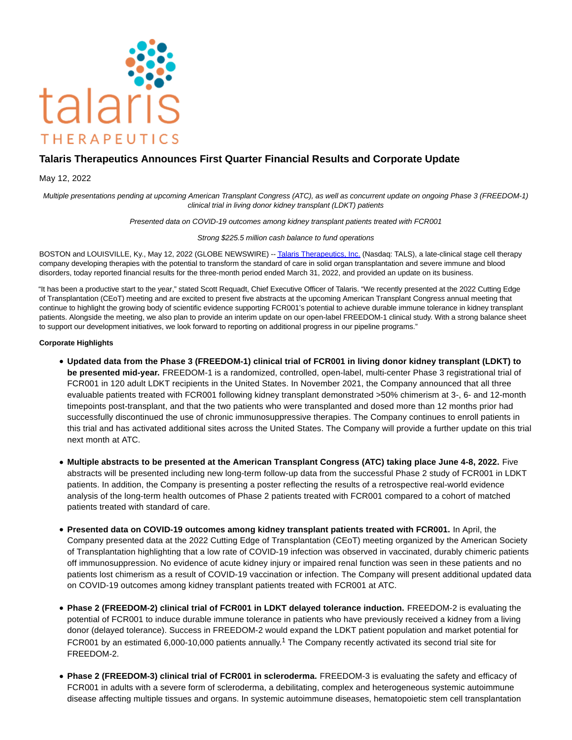

# **Talaris Therapeutics Announces First Quarter Financial Results and Corporate Update**

### May 12, 2022

Multiple presentations pending at upcoming American Transplant Congress (ATC), as well as concurrent update on ongoing Phase 3 (FREEDOM-1) clinical trial in living donor kidney transplant (LDKT) patients

Presented data on COVID-19 outcomes among kidney transplant patients treated with FCR001

Strong \$225.5 million cash balance to fund operations

BOSTON and LOUISVILLE, Ky., May 12, 2022 (GLOBE NEWSWIRE) -[- Talaris Therapeutics, Inc. \(](https://www.globenewswire.com/Tracker?data=i_tn9UyYvhyo7ISYEm9d1JbRGDD8rmyBFDYsCJe4r-7P-uRixmO39TxiWBgiOahSwfS_X4V3efS7KrYy9YJ_Fe_nTU1wWCn7eJgUHKDsPPg=)Nasdaq: TALS), a late-clinical stage cell therapy company developing therapies with the potential to transform the standard of care in solid organ transplantation and severe immune and blood disorders, today reported financial results for the three-month period ended March 31, 2022, and provided an update on its business.

"It has been a productive start to the year," stated Scott Requadt, Chief Executive Officer of Talaris. "We recently presented at the 2022 Cutting Edge of Transplantation (CEoT) meeting and are excited to present five abstracts at the upcoming American Transplant Congress annual meeting that continue to highlight the growing body of scientific evidence supporting FCR001's potential to achieve durable immune tolerance in kidney transplant patients. Alongside the meeting, we also plan to provide an interim update on our open-label FREEDOM-1 clinical study. With a strong balance sheet to support our development initiatives, we look forward to reporting on additional progress in our pipeline programs."

#### **Corporate Highlights**

- **Updated data from the Phase 3 (FREEDOM-1) clinical trial of FCR001 in living donor kidney transplant (LDKT) to be presented mid-year.** FREEDOM-1 is a randomized, controlled, open-label, multi-center Phase 3 registrational trial of FCR001 in 120 adult LDKT recipients in the United States. In November 2021, the Company announced that all three evaluable patients treated with FCR001 following kidney transplant demonstrated >50% chimerism at 3-, 6- and 12-month timepoints post-transplant, and that the two patients who were transplanted and dosed more than 12 months prior had successfully discontinued the use of chronic immunosuppressive therapies. The Company continues to enroll patients in this trial and has activated additional sites across the United States. The Company will provide a further update on this trial next month at ATC.
- **Multiple abstracts to be presented at the American Transplant Congress (ATC) taking place June 4-8, 2022.** Five abstracts will be presented including new long-term follow-up data from the successful Phase 2 study of FCR001 in LDKT patients. In addition, the Company is presenting a poster reflecting the results of a retrospective real-world evidence analysis of the long-term health outcomes of Phase 2 patients treated with FCR001 compared to a cohort of matched patients treated with standard of care.
- **Presented data on COVID-19 outcomes among kidney transplant patients treated with FCR001.** In April, the Company presented data at the 2022 Cutting Edge of Transplantation (CEoT) meeting organized by the American Society of Transplantation highlighting that a low rate of COVID-19 infection was observed in vaccinated, durably chimeric patients off immunosuppression. No evidence of acute kidney injury or impaired renal function was seen in these patients and no patients lost chimerism as a result of COVID-19 vaccination or infection. The Company will present additional updated data on COVID-19 outcomes among kidney transplant patients treated with FCR001 at ATC.
- **Phase 2 (FREEDOM-2) clinical trial of FCR001 in LDKT delayed tolerance induction.** FREEDOM-2 is evaluating the potential of FCR001 to induce durable immune tolerance in patients who have previously received a kidney from a living donor (delayed tolerance). Success in FREEDOM-2 would expand the LDKT patient population and market potential for FCR001 by an estimated 6,000-10,000 patients annually.<sup>1</sup> The Company recently activated its second trial site for FREEDOM-2.
- **Phase 2 (FREEDOM-3) clinical trial of FCR001 in scleroderma.** FREEDOM-3 is evaluating the safety and efficacy of FCR001 in adults with a severe form of scleroderma, a debilitating, complex and heterogeneous systemic autoimmune disease affecting multiple tissues and organs. In systemic autoimmune diseases, hematopoietic stem cell transplantation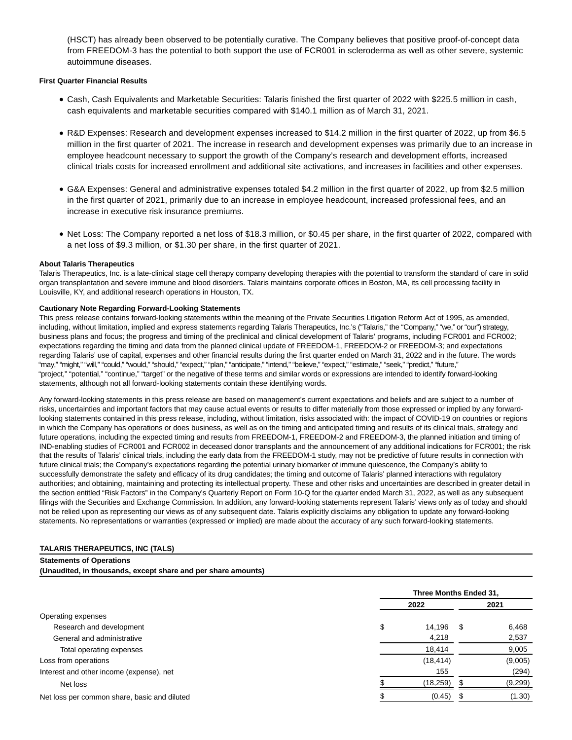(HSCT) has already been observed to be potentially curative. The Company believes that positive proof-of-concept data from FREEDOM-3 has the potential to both support the use of FCR001 in scleroderma as well as other severe, systemic autoimmune diseases.

#### **First Quarter Financial Results**

- Cash, Cash Equivalents and Marketable Securities: Talaris finished the first quarter of 2022 with \$225.5 million in cash, cash equivalents and marketable securities compared with \$140.1 million as of March 31, 2021.
- R&D Expenses: Research and development expenses increased to \$14.2 million in the first quarter of 2022, up from \$6.5 million in the first quarter of 2021. The increase in research and development expenses was primarily due to an increase in employee headcount necessary to support the growth of the Company's research and development efforts, increased clinical trials costs for increased enrollment and additional site activations, and increases in facilities and other expenses.
- G&A Expenses: General and administrative expenses totaled \$4.2 million in the first quarter of 2022, up from \$2.5 million in the first quarter of 2021, primarily due to an increase in employee headcount, increased professional fees, and an increase in executive risk insurance premiums.
- Net Loss: The Company reported a net loss of \$18.3 million, or \$0.45 per share, in the first quarter of 2022, compared with a net loss of \$9.3 million, or \$1.30 per share, in the first quarter of 2021.

#### **About Talaris Therapeutics**

Talaris Therapeutics, Inc. is a late-clinical stage cell therapy company developing therapies with the potential to transform the standard of care in solid organ transplantation and severe immune and blood disorders. Talaris maintains corporate offices in Boston, MA, its cell processing facility in Louisville, KY, and additional research operations in Houston, TX.

#### **Cautionary Note Regarding Forward-Looking Statements**

This press release contains forward-looking statements within the meaning of the Private Securities Litigation Reform Act of 1995, as amended, including, without limitation, implied and express statements regarding Talaris Therapeutics, Inc.'s ("Talaris," the "Company," "we," or "our") strategy, business plans and focus; the progress and timing of the preclinical and clinical development of Talaris' programs, including FCR001 and FCR002; expectations regarding the timing and data from the planned clinical update of FREEDOM-1, FREEDOM-2 or FREEDOM-3; and expectations regarding Talaris' use of capital, expenses and other financial results during the first quarter ended on March 31, 2022 and in the future. The words "may," "might," "will," "could," "would," "should," "expect," "plan," "anticipate," "intend," "believe," "expect," "estimate," "seek," "predict," "future," "project," "potential," "continue," "target" or the negative of these terms and similar words or expressions are intended to identify forward-looking statements, although not all forward-looking statements contain these identifying words.

Any forward-looking statements in this press release are based on management's current expectations and beliefs and are subject to a number of risks, uncertainties and important factors that may cause actual events or results to differ materially from those expressed or implied by any forwardlooking statements contained in this press release, including, without limitation, risks associated with: the impact of COVID-19 on countries or regions in which the Company has operations or does business, as well as on the timing and anticipated timing and results of its clinical trials, strategy and future operations, including the expected timing and results from FREEDOM-1, FREEDOM-2 and FREEDOM-3, the planned initiation and timing of IND-enabling studies of FCR001 and FCR002 in deceased donor transplants and the announcement of any additional indications for FCR001; the risk that the results of Talaris' clinical trials, including the early data from the FREEDOM-1 study, may not be predictive of future results in connection with future clinical trials; the Company's expectations regarding the potential urinary biomarker of immune quiescence, the Company's ability to successfully demonstrate the safety and efficacy of its drug candidates; the timing and outcome of Talaris' planned interactions with regulatory authorities; and obtaining, maintaining and protecting its intellectual property. These and other risks and uncertainties are described in greater detail in the section entitled "Risk Factors" in the Company's Quarterly Report on Form 10-Q for the quarter ended March 31, 2022, as well as any subsequent filings with the Securities and Exchange Commission. In addition, any forward-looking statements represent Talaris' views only as of today and should not be relied upon as representing our views as of any subsequent date. Talaris explicitly disclaims any obligation to update any forward-looking statements. No representations or warranties (expressed or implied) are made about the accuracy of any such forward-looking statements.

# **TALARIS THERAPEUTICS, INC (TALS)**

**Statements of Operations**

**(Unaudited, in thousands, except share and per share amounts)**

|                                              | Three Months Ended 31, |      |         |  |
|----------------------------------------------|------------------------|------|---------|--|
|                                              | 2022                   |      | 2021    |  |
| Operating expenses                           |                        |      |         |  |
| Research and development                     | \$<br>14,196           | - \$ | 6,468   |  |
| General and administrative                   | 4,218                  |      | 2,537   |  |
| Total operating expenses                     | 18,414                 |      | 9,005   |  |
| Loss from operations                         | (18, 414)              |      | (9,005) |  |
| Interest and other income (expense), net     | 155                    |      | (294)   |  |
| Net loss                                     | (18,259)               | - 35 | (9,299) |  |
| Net loss per common share, basic and diluted | (0.45)                 |      | (1.30)  |  |